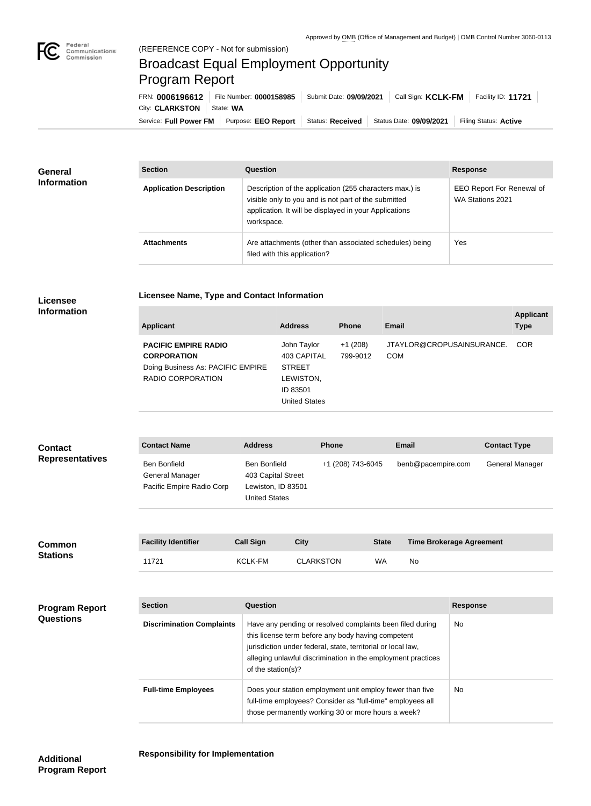

## Broadcast Equal Employment Opportunity Program Report

**Licensee Name, Type and Contact Information**

Service: Full Power FM | Purpose: EEO Report | Status: Received | Status Date: 09/09/2021 | Filing Status: Active City: **CLARKSTON** | State: WA FRN: **0006196612** File Number: **0000158985** Submit Date: **09/09/2021** Call Sign: **KCLK-FM** Facility ID: **11721**

| <b>General</b><br><b>Information</b> | <b>Section</b>                 | Question                                                                                                                                                                                | <b>Response</b>                               |
|--------------------------------------|--------------------------------|-----------------------------------------------------------------------------------------------------------------------------------------------------------------------------------------|-----------------------------------------------|
|                                      | <b>Application Description</b> | Description of the application (255 characters max.) is<br>visible only to you and is not part of the submitted<br>application. It will be displayed in your Applications<br>workspace. | EEO Report For Renewal of<br>WA Stations 2021 |
|                                      | <b>Attachments</b>             | Are attachments (other than associated schedules) being<br>filed with this application?                                                                                                 | Yes                                           |

## **Licensee Information**

| <b>Applicant</b>                                                                                                   | <b>Address</b>                                                                               | <b>Phone</b>          | <b>Email</b>                            | <b>Applicant</b><br><b>Type</b> |
|--------------------------------------------------------------------------------------------------------------------|----------------------------------------------------------------------------------------------|-----------------------|-----------------------------------------|---------------------------------|
| <b>PACIFIC EMPIRE RADIO</b><br><b>CORPORATION</b><br>Doing Business As: PACIFIC EMPIRE<br><b>RADIO CORPORATION</b> | John Taylor<br>403 CAPITAL<br><b>STREET</b><br>LEWISTON,<br>ID 83501<br><b>United States</b> | $+1(208)$<br>799-9012 | JTAYLOR@CROPUSAINSURANCE.<br><b>COM</b> | <b>COR</b>                      |

| <b>Contact</b><br><b>Representatives</b> | <b>Contact Name</b>                                                 | <b>Address</b>                                                                                                                                                                                                                                                        | <b>Phone</b>                                                                                                                                                                 |              | <b>Email</b>                    |                 | <b>Contact Type</b> |
|------------------------------------------|---------------------------------------------------------------------|-----------------------------------------------------------------------------------------------------------------------------------------------------------------------------------------------------------------------------------------------------------------------|------------------------------------------------------------------------------------------------------------------------------------------------------------------------------|--------------|---------------------------------|-----------------|---------------------|
|                                          | <b>Ben Bonfield</b><br>General Manager<br>Pacific Empire Radio Corp | <b>Ben Bonfield</b><br>403 Capital Street<br>Lewiston, ID 83501<br><b>United States</b>                                                                                                                                                                               | +1 (208) 743-6045                                                                                                                                                            |              | benb@pacempire.com              |                 | General Manager     |
| <b>Common</b><br><b>Stations</b>         | <b>Facility Identifier</b>                                          | <b>Call Sign</b>                                                                                                                                                                                                                                                      | <b>City</b>                                                                                                                                                                  | <b>State</b> | <b>Time Brokerage Agreement</b> |                 |                     |
|                                          | 11721                                                               | <b>KCLK-FM</b>                                                                                                                                                                                                                                                        | <b>CLARKSTON</b>                                                                                                                                                             | <b>WA</b>    | <b>No</b>                       |                 |                     |
|                                          |                                                                     |                                                                                                                                                                                                                                                                       |                                                                                                                                                                              |              |                                 |                 |                     |
| <b>Program Report</b><br>Questions       | <b>Section</b>                                                      | <b>Question</b>                                                                                                                                                                                                                                                       |                                                                                                                                                                              |              |                                 | <b>Response</b> |                     |
|                                          | <b>Discrimination Complaints</b>                                    | Have any pending or resolved complaints been filed during<br>this license term before any body having competent<br>jurisdiction under federal, state, territorial or local law,<br>alleging unlawful discrimination in the employment practices<br>of the station(s)? |                                                                                                                                                                              |              | No                              |                 |                     |
|                                          | <b>Full-time Employees</b>                                          |                                                                                                                                                                                                                                                                       | Does your station employment unit employ fewer than five<br>full-time employees? Consider as "full-time" employees all<br>those permanently working 30 or more hours a week? |              |                                 | No              |                     |